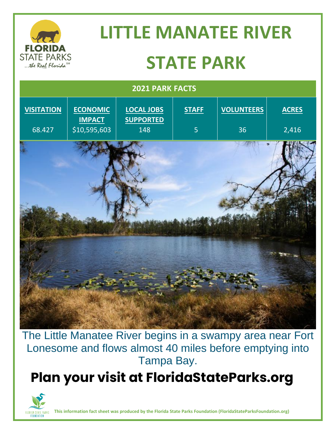

The Little Manatee River begins in a swampy area near Fort Lonesome and flows almost 40 miles before emptying into Tampa Bay.

# **Plan your visit at FloridaStateParks.org**



**This information fact sheet was produced by the Florida State Parks Foundation (FloridaStateParksFoundation.org)**